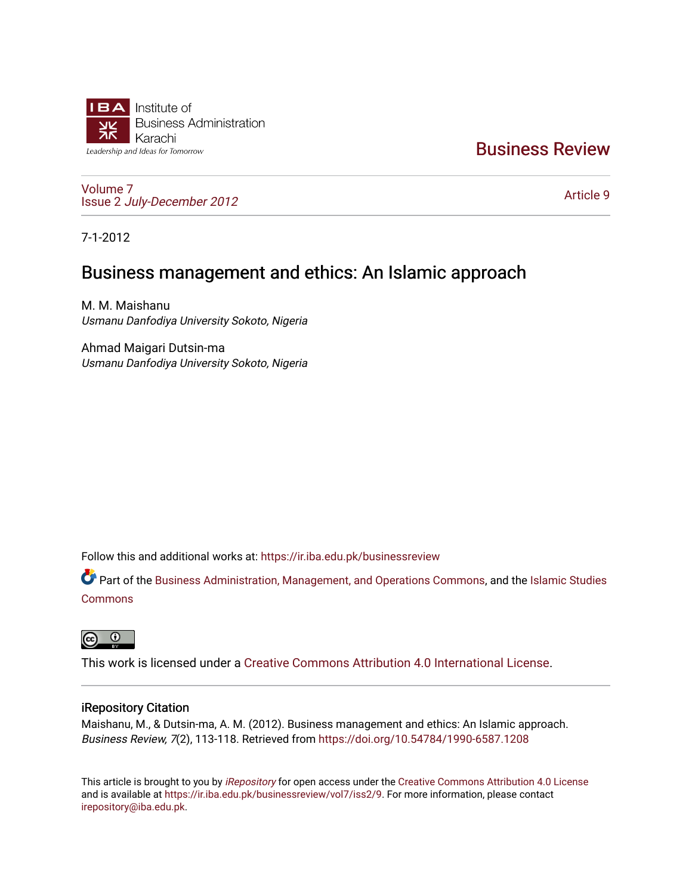

# [Business Review](https://ir.iba.edu.pk/businessreview)

[Volume 7](https://ir.iba.edu.pk/businessreview/vol7) Issue 2 [July-December 2012](https://ir.iba.edu.pk/businessreview/vol7/iss2)

[Article 9](https://ir.iba.edu.pk/businessreview/vol7/iss2/9) 

7-1-2012

# Business management and ethics: An Islamic approach

M. M. Maishanu Usmanu Danfodiya University Sokoto, Nigeria

Ahmad Maigari Dutsin-ma Usmanu Danfodiya University Sokoto, Nigeria

Follow this and additional works at: [https://ir.iba.edu.pk/businessreview](https://ir.iba.edu.pk/businessreview?utm_source=ir.iba.edu.pk%2Fbusinessreview%2Fvol7%2Fiss2%2F9&utm_medium=PDF&utm_campaign=PDFCoverPages) 

Part of the [Business Administration, Management, and Operations Commons](http://network.bepress.com/hgg/discipline/623?utm_source=ir.iba.edu.pk%2Fbusinessreview%2Fvol7%2Fiss2%2F9&utm_medium=PDF&utm_campaign=PDFCoverPages), and the [Islamic Studies](http://network.bepress.com/hgg/discipline/1346?utm_source=ir.iba.edu.pk%2Fbusinessreview%2Fvol7%2Fiss2%2F9&utm_medium=PDF&utm_campaign=PDFCoverPages) [Commons](http://network.bepress.com/hgg/discipline/1346?utm_source=ir.iba.edu.pk%2Fbusinessreview%2Fvol7%2Fiss2%2F9&utm_medium=PDF&utm_campaign=PDFCoverPages)



This work is licensed under a [Creative Commons Attribution 4.0 International License](https://creativecommons.org/licenses/by/4.0/).

# iRepository Citation

Maishanu, M., & Dutsin-ma, A. M. (2012). Business management and ethics: An Islamic approach. Business Review, 7(2), 113-118. Retrieved from<https://doi.org/10.54784/1990-6587.1208>

This article is brought to you by [iRepository](https://ir.iba.edu.pk/) for open access under the Creative Commons Attribution 4.0 License and is available at [https://ir.iba.edu.pk/businessreview/vol7/iss2/9.](https://ir.iba.edu.pk/businessreview/vol7/iss2/9) For more information, please contact [irepository@iba.edu.pk.](mailto:irepository@iba.edu.pk)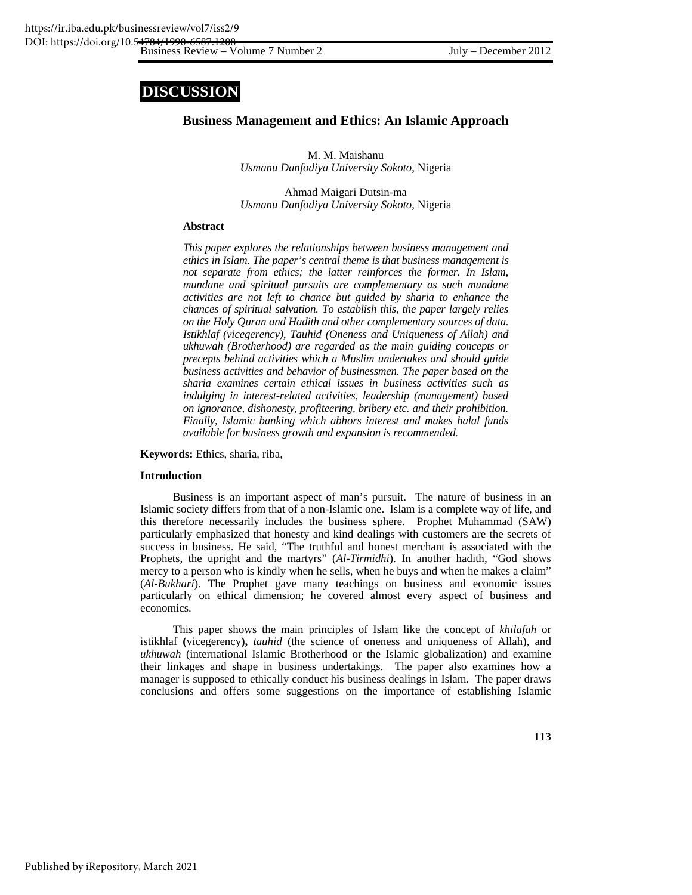# **DISCUSSION**

# **Business Management and Ethics: An Islamic Approach**

M. M. Maishanu *Usmanu Danfodiya University Sokoto*, Nigeria

Ahmad Maigari Dutsin-ma *Usmanu Danfodiya University Sokoto*, Nigeria

# **Abstract**

*This paper explores the relationships between business management and ethics in Islam. The paper's central theme is that business management is not separate from ethics; the latter reinforces the former. In Islam, mundane and spiritual pursuits are complementary as such mundane activities are not left to chance but guided by sharia to enhance the chances of spiritual salvation. To establish this, the paper largely relies on the Holy Quran and Hadith and other complementary sources of data. Istikhlaf (vicegerency), Tauhid (Oneness and Uniqueness of Allah) and ukhuwah (Brotherhood) are regarded as the main guiding concepts or precepts behind activities which a Muslim undertakes and should guide business activities and behavior of businessmen. The paper based on the sharia examines certain ethical issues in business activities such as indulging in interest-related activities, leadership (management) based on ignorance, dishonesty, profiteering, bribery etc. and their prohibition. Finally, Islamic banking which abhors interest and makes halal funds available for business growth and expansion is recommended.* 

**Keywords:** Ethics, sharia, riba,

#### **Introduction**

Business is an important aspect of man's pursuit. The nature of business in an Islamic society differs from that of a non-Islamic one. Islam is a complete way of life, and this therefore necessarily includes the business sphere. Prophet Muhammad (SAW) particularly emphasized that honesty and kind dealings with customers are the secrets of success in business. He said, "The truthful and honest merchant is associated with the Prophets, the upright and the martyrs" (*Al-Tirmidhi*). In another hadith, "God shows mercy to a person who is kindly when he sells, when he buys and when he makes a claim" (*Al-Bukhari*). The Prophet gave many teachings on business and economic issues particularly on ethical dimension; he covered almost every aspect of business and economics.

This paper shows the main principles of Islam like the concept of *khilafah* or istikhlaf **(**vicegerency**),** *tauhid* (the science of oneness and uniqueness of Allah), and *ukhuwah* (international Islamic Brotherhood or the Islamic globalization) and examine their linkages and shape in business undertakings. The paper also examines how a manager is supposed to ethically conduct his business dealings in Islam. The paper draws conclusions and offers some suggestions on the importance of establishing Islamic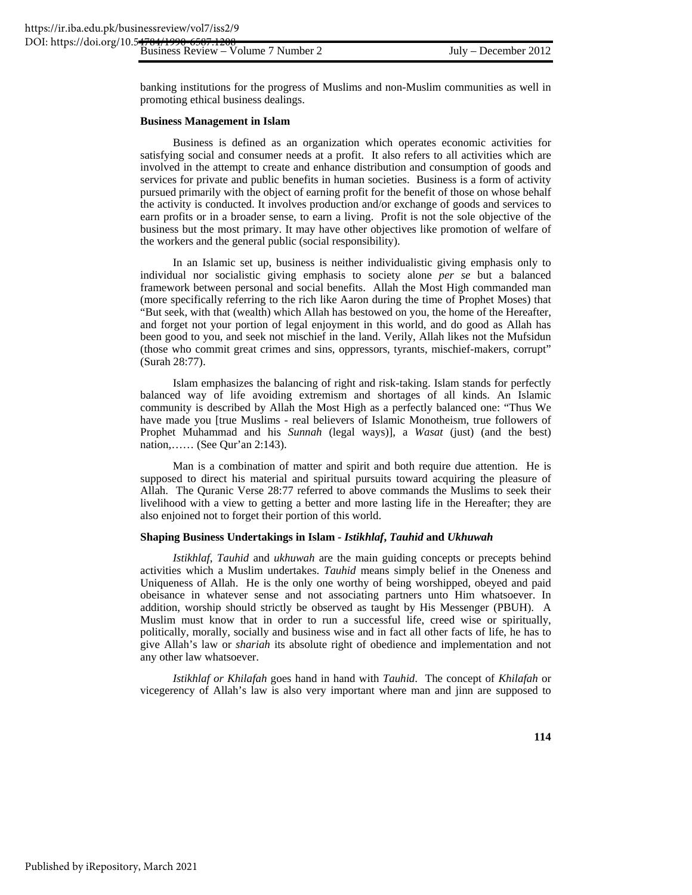banking institutions for the progress of Muslims and non-Muslim communities as well in promoting ethical business dealings.

#### **Business Management in Islam**

Business is defined as an organization which operates economic activities for satisfying social and consumer needs at a profit. It also refers to all activities which are involved in the attempt to create and enhance distribution and consumption of goods and services for private and public benefits in human societies. Business is a form of activity pursued primarily with the object of earning profit for the benefit of those on whose behalf the activity is conducted. It involves production and/or exchange of goods and services to earn profits or in a broader sense, to earn a living. Profit is not the sole objective of the business but the most primary. It may have other objectives like promotion of welfare of the workers and the general public (social responsibility).

In an Islamic set up, business is neither individualistic giving emphasis only to individual nor socialistic giving emphasis to society alone *per se* but a balanced framework between personal and social benefits. Allah the Most High commanded man (more specifically referring to the rich like Aaron during the time of Prophet Moses) that "But seek, with that (wealth) which Allah has bestowed on you, the home of the Hereafter, and forget not your portion of legal enjoyment in this world, and do good as Allah has been good to you, and seek not mischief in the land. Verily, Allah likes not the Mufsidun (those who commit great crimes and sins, oppressors, tyrants, mischief-makers, corrupt" (Surah 28:77).

Islam emphasizes the balancing of right and risk-taking. Islam stands for perfectly balanced way of life avoiding extremism and shortages of all kinds. An Islamic community is described by Allah the Most High as a perfectly balanced one: "Thus We have made you [true Muslims - real believers of Islamic Monotheism, true followers of Prophet Muhammad and his *Sunnah* (legal ways)], a *Wasat* (just) (and the best) nation,…… (See Qur'an 2:143).

Man is a combination of matter and spirit and both require due attention. He is supposed to direct his material and spiritual pursuits toward acquiring the pleasure of Allah. The Quranic Verse 28:77 referred to above commands the Muslims to seek their livelihood with a view to getting a better and more lasting life in the Hereafter; they are also enjoined not to forget their portion of this world.

#### **Shaping Business Undertakings in Islam -** *Istikhlaf***,** *Tauhid* **and** *Ukhuwah*

*Istikhlaf*, *Tauhid* and *ukhuwah* are the main guiding concepts or precepts behind activities which a Muslim undertakes. *Tauhid* means simply belief in the Oneness and Uniqueness of Allah. He is the only one worthy of being worshipped, obeyed and paid obeisance in whatever sense and not associating partners unto Him whatsoever. In addition, worship should strictly be observed as taught by His Messenger (PBUH). A Muslim must know that in order to run a successful life, creed wise or spiritually, politically, morally, socially and business wise and in fact all other facts of life, he has to give Allah's law or *shariah* its absolute right of obedience and implementation and not any other law whatsoever.

*Istikhlaf or Khilafah* goes hand in hand with *Tauhid*. The concept of *Khilafah* or vicegerency of Allah's law is also very important where man and jinn are supposed to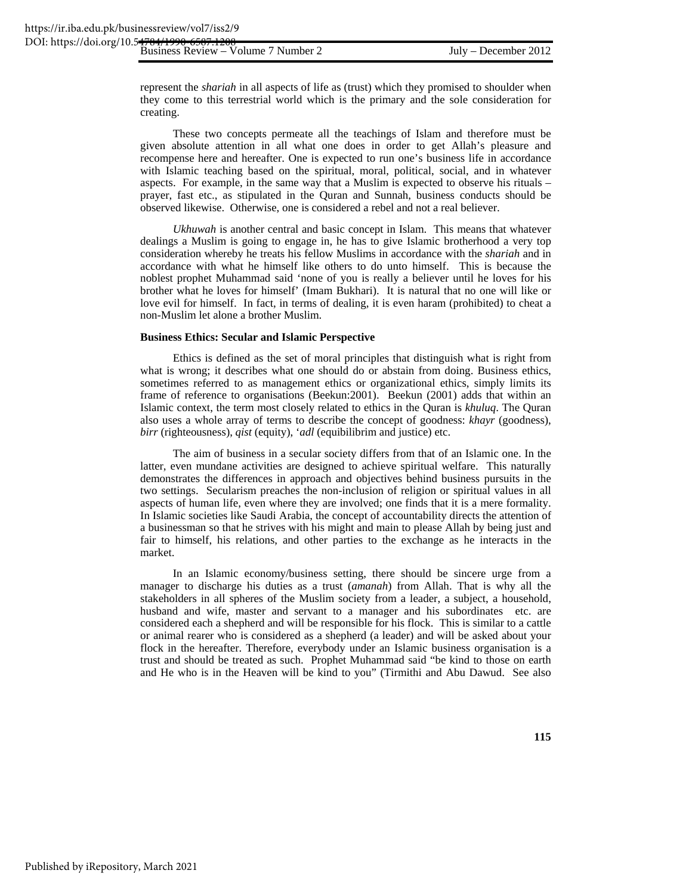represent the *shariah* in all aspects of life as (trust) which they promised to shoulder when they come to this terrestrial world which is the primary and the sole consideration for creating.

These two concepts permeate all the teachings of Islam and therefore must be given absolute attention in all what one does in order to get Allah's pleasure and recompense here and hereafter. One is expected to run one's business life in accordance with Islamic teaching based on the spiritual, moral, political, social, and in whatever aspects. For example, in the same way that a Muslim is expected to observe his rituals – prayer, fast etc., as stipulated in the Quran and Sunnah, business conducts should be observed likewise. Otherwise, one is considered a rebel and not a real believer.

*Ukhuwah* is another central and basic concept in Islam. This means that whatever dealings a Muslim is going to engage in, he has to give Islamic brotherhood a very top consideration whereby he treats his fellow Muslims in accordance with the *shariah* and in accordance with what he himself like others to do unto himself. This is because the noblest prophet Muhammad said 'none of you is really a believer until he loves for his brother what he loves for himself' (Imam Bukhari). It is natural that no one will like or love evil for himself. In fact, in terms of dealing, it is even haram (prohibited) to cheat a non-Muslim let alone a brother Muslim.

### **Business Ethics: Secular and Islamic Perspective**

Ethics is defined as the set of moral principles that distinguish what is right from what is wrong; it describes what one should do or abstain from doing. Business ethics, sometimes referred to as management ethics or organizational ethics, simply limits its frame of reference to organisations (Beekun:2001). Beekun (2001) adds that within an Islamic context, the term most closely related to ethics in the Quran is *khuluq*. The Quran also uses a whole array of terms to describe the concept of goodness: *khayr* (goodness), *birr* (righteousness), *qist* (equity), '*adl* (equibilibrim and justice) etc.

The aim of business in a secular society differs from that of an Islamic one. In the latter, even mundane activities are designed to achieve spiritual welfare. This naturally demonstrates the differences in approach and objectives behind business pursuits in the two settings. Secularism preaches the non-inclusion of religion or spiritual values in all aspects of human life, even where they are involved; one finds that it is a mere formality. In Islamic societies like Saudi Arabia, the concept of accountability directs the attention of a businessman so that he strives with his might and main to please Allah by being just and fair to himself, his relations, and other parties to the exchange as he interacts in the market.

In an Islamic economy/business setting, there should be sincere urge from a manager to discharge his duties as a trust (*amanah*) from Allah. That is why all the stakeholders in all spheres of the Muslim society from a leader, a subject, a household, husband and wife, master and servant to a manager and his subordinates etc. are considered each a shepherd and will be responsible for his flock. This is similar to a cattle or animal rearer who is considered as a shepherd (a leader) and will be asked about your flock in the hereafter. Therefore, everybody under an Islamic business organisation is a trust and should be treated as such. Prophet Muhammad said "be kind to those on earth and He who is in the Heaven will be kind to you" (Tirmithi and Abu Dawud. See also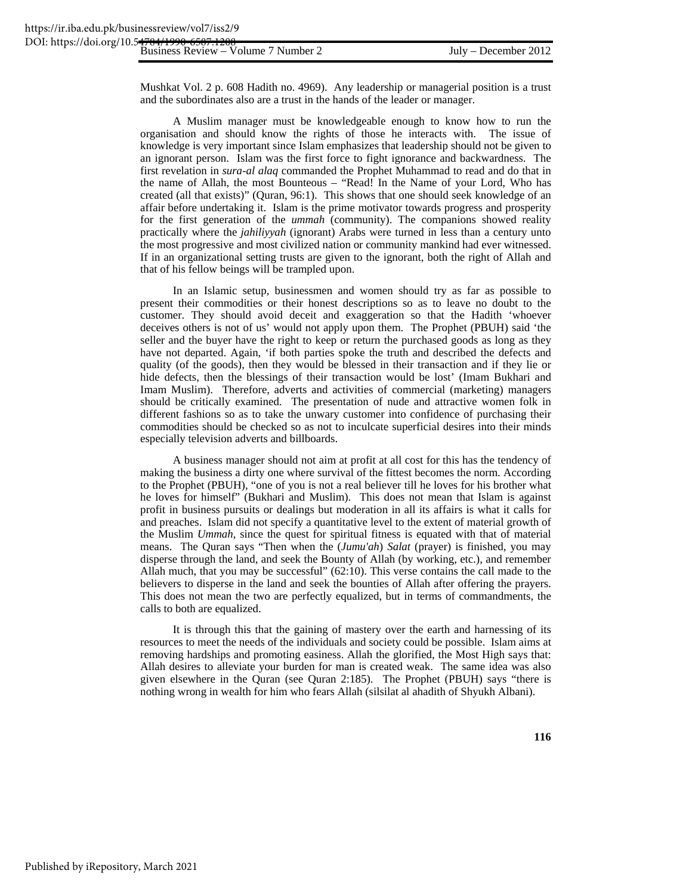Mushkat Vol. 2 p. 608 Hadith no. 4969). Any leadership or managerial position is a trust and the subordinates also are a trust in the hands of the leader or manager.

A Muslim manager must be knowledgeable enough to know how to run the organisation and should know the rights of those he interacts with. The issue of knowledge is very important since Islam emphasizes that leadership should not be given to an ignorant person. Islam was the first force to fight ignorance and backwardness. The first revelation in *sura-al alaq* commanded the Prophet Muhammad to read and do that in the name of Allah, the most Bounteous – "Read! In the Name of your Lord, Who has created (all that exists)" (Quran, 96:1). This shows that one should seek knowledge of an affair before undertaking it. Islam is the prime motivator towards progress and prosperity for the first generation of the *ummah* (community). The companions showed reality practically where the *jahiliyyah* (ignorant) Arabs were turned in less than a century unto the most progressive and most civilized nation or community mankind had ever witnessed. If in an organizational setting trusts are given to the ignorant, both the right of Allah and that of his fellow beings will be trampled upon.

In an Islamic setup, businessmen and women should try as far as possible to present their commodities or their honest descriptions so as to leave no doubt to the customer. They should avoid deceit and exaggeration so that the Hadith 'whoever deceives others is not of us' would not apply upon them. The Prophet (PBUH) said 'the seller and the buyer have the right to keep or return the purchased goods as long as they have not departed. Again, 'if both parties spoke the truth and described the defects and quality (of the goods), then they would be blessed in their transaction and if they lie or hide defects, then the blessings of their transaction would be lost' (Imam Bukhari and Imam Muslim). Therefore, adverts and activities of commercial (marketing) managers should be critically examined. The presentation of nude and attractive women folk in different fashions so as to take the unwary customer into confidence of purchasing their commodities should be checked so as not to inculcate superficial desires into their minds especially television adverts and billboards.

A business manager should not aim at profit at all cost for this has the tendency of making the business a dirty one where survival of the fittest becomes the norm. According to the Prophet (PBUH), "one of you is not a real believer till he loves for his brother what he loves for himself" (Bukhari and Muslim). This does not mean that Islam is against profit in business pursuits or dealings but moderation in all its affairs is what it calls for and preaches. Islam did not specify a quantitative level to the extent of material growth of the Muslim *Ummah*, since the quest for spiritual fitness is equated with that of material means. The Quran says "Then when the (*Jumu'ah*) *Salat* (prayer) is finished, you may disperse through the land, and seek the Bounty of Allah (by working, etc.), and remember Allah much, that you may be successful" (62:10). This verse contains the call made to the believers to disperse in the land and seek the bounties of Allah after offering the prayers. This does not mean the two are perfectly equalized, but in terms of commandments, the calls to both are equalized.

It is through this that the gaining of mastery over the earth and harnessing of its resources to meet the needs of the individuals and society could be possible. Islam aims at removing hardships and promoting easiness. Allah the glorified, the Most High says that: Allah desires to alleviate your burden for man is created weak. The same idea was also given elsewhere in the Quran (see Quran 2:185). The Prophet (PBUH) says "there is nothing wrong in wealth for him who fears Allah (silsilat al ahadith of Shyukh Albani).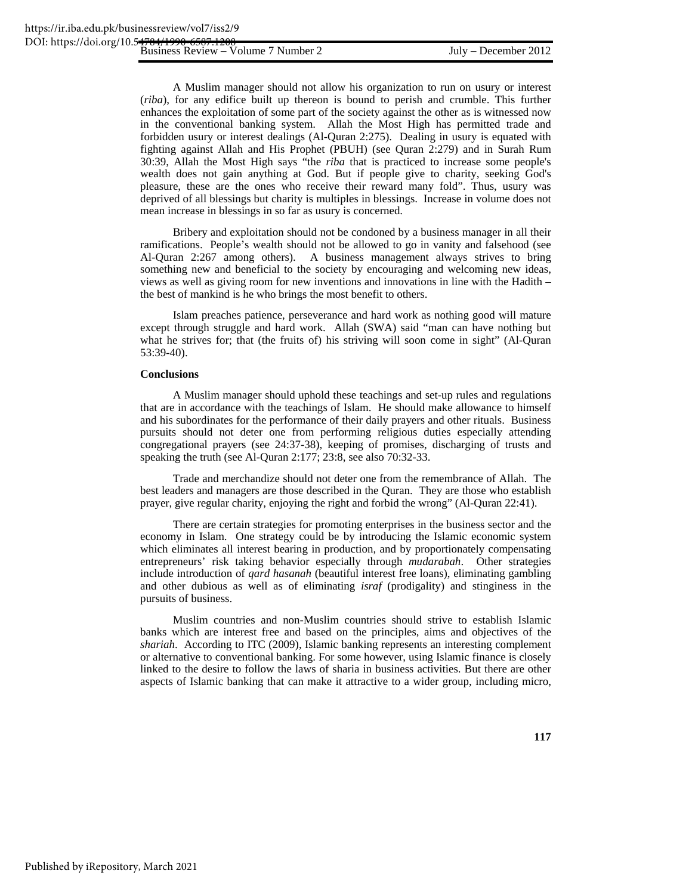A Muslim manager should not allow his organization to run on usury or interest (*riba*), for any edifice built up thereon is bound to perish and crumble. This further enhances the exploitation of some part of the society against the other as is witnessed now in the conventional banking system. Allah the Most High has permitted trade and forbidden usury or interest dealings (Al-Quran 2:275). Dealing in usury is equated with fighting against Allah and His Prophet (PBUH) (see Quran 2:279) and in Surah Rum 30:39, Allah the Most High says "the *riba* that is practiced to increase some people's wealth does not gain anything at God. But if people give to charity, seeking God's pleasure, these are the ones who receive their reward many fold". Thus, usury was deprived of all blessings but charity is multiples in blessings. Increase in volume does not mean increase in blessings in so far as usury is concerned.

Bribery and exploitation should not be condoned by a business manager in all their ramifications. People's wealth should not be allowed to go in vanity and falsehood (see Al-Quran 2:267 among others). A business management always strives to bring something new and beneficial to the society by encouraging and welcoming new ideas, views as well as giving room for new inventions and innovations in line with the Hadith – the best of mankind is he who brings the most benefit to others.

Islam preaches patience, perseverance and hard work as nothing good will mature except through struggle and hard work. Allah (SWA) said "man can have nothing but what he strives for; that (the fruits of) his striving will soon come in sight" (Al-Quran 53:39-40).

### **Conclusions**

A Muslim manager should uphold these teachings and set-up rules and regulations that are in accordance with the teachings of Islam. He should make allowance to himself and his subordinates for the performance of their daily prayers and other rituals. Business pursuits should not deter one from performing religious duties especially attending congregational prayers (see 24:37-38), keeping of promises, discharging of trusts and speaking the truth (see Al-Quran 2:177; 23:8, see also 70:32-33.

Trade and merchandize should not deter one from the remembrance of Allah. The best leaders and managers are those described in the Quran. They are those who establish prayer, give regular charity, enjoying the right and forbid the wrong" (Al-Quran 22:41).

There are certain strategies for promoting enterprises in the business sector and the economy in Islam. One strategy could be by introducing the Islamic economic system which eliminates all interest bearing in production, and by proportionately compensating entrepreneurs' risk taking behavior especially through *mudarabah*. Other strategies include introduction of *qard hasanah* (beautiful interest free loans), eliminating gambling and other dubious as well as of eliminating *israf* (prodigality) and stinginess in the pursuits of business.

Muslim countries and non-Muslim countries should strive to establish Islamic banks which are interest free and based on the principles, aims and objectives of the *shariah*. According to ITC (2009), Islamic banking represents an interesting complement or alternative to conventional banking. For some however, using Islamic finance is closely linked to the desire to follow the laws of sharia in business activities. But there are other aspects of Islamic banking that can make it attractive to a wider group, including micro,